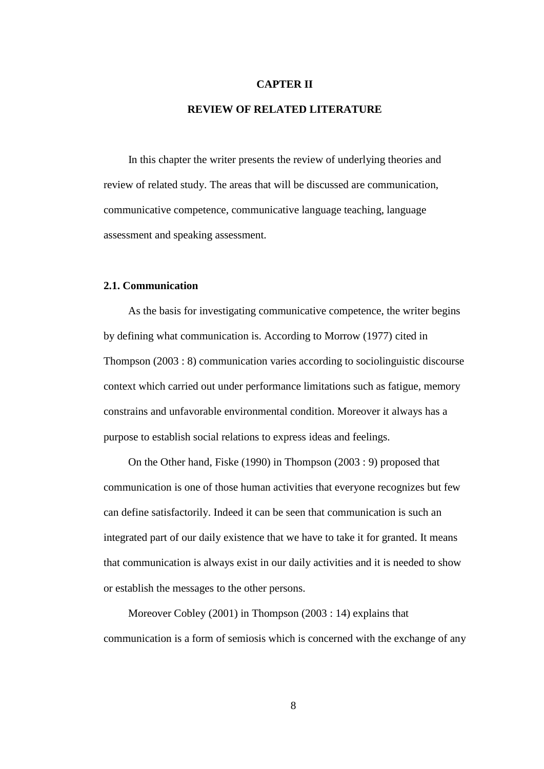### **CAPTER II**

## **REVIEW OF RELATED LITERATURE**

In this chapter the writer presents the review of underlying theories and review of related study. The areas that will be discussed are communication, communicative competence, communicative language teaching, language assessment and speaking assessment.

## **2.1. Communication**

As the basis for investigating communicative competence, the writer begins by defining what communication is. According to Morrow (1977) cited in Thompson (2003 : 8) communication varies according to sociolinguistic discourse context which carried out under performance limitations such as fatigue, memory constrains and unfavorable environmental condition. Moreover it always has a purpose to establish social relations to express ideas and feelings.

On the Other hand, Fiske (1990) in Thompson (2003 : 9) proposed that communication is one of those human activities that everyone recognizes but few can define satisfactorily. Indeed it can be seen that communication is such an integrated part of our daily existence that we have to take it for granted. It means that communication is always exist in our daily activities and it is needed to show or establish the messages to the other persons.

Moreover Cobley (2001) in Thompson (2003 : 14) explains that communication is a form of semiosis which is concerned with the exchange of any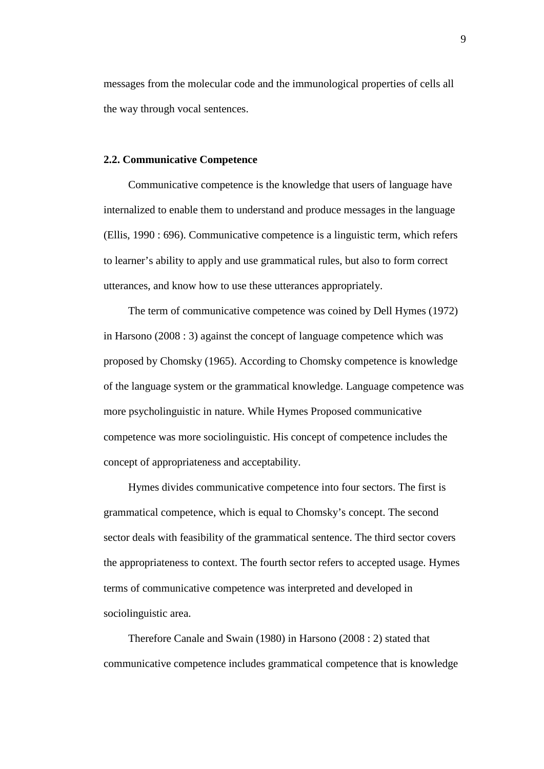messages from the molecular code and the immunological properties of cells all the way through vocal sentences.

### **2.2. Communicative Competence**

Communicative competence is the knowledge that users of language have internalized to enable them to understand and produce messages in the language (Ellis, 1990 : 696). Communicative competence is a linguistic term, which refers to learner's ability to apply and use grammatical rules, but also to form correct utterances, and know how to use these utterances appropriately.

The term of communicative competence was coined by Dell Hymes (1972) in Harsono (2008 : 3) against the concept of language competence which was proposed by Chomsky (1965). According to Chomsky competence is knowledge of the language system or the grammatical knowledge. Language competence was more psycholinguistic in nature. While Hymes Proposed communicative competence was more sociolinguistic. His concept of competence includes the concept of appropriateness and acceptability.

Hymes divides communicative competence into four sectors. The first is grammatical competence, which is equal to Chomsky's concept. The second sector deals with feasibility of the grammatical sentence. The third sector covers the appropriateness to context. The fourth sector refers to accepted usage. Hymes terms of communicative competence was interpreted and developed in sociolinguistic area.

Therefore Canale and Swain (1980) in Harsono (2008 : 2) stated that communicative competence includes grammatical competence that is knowledge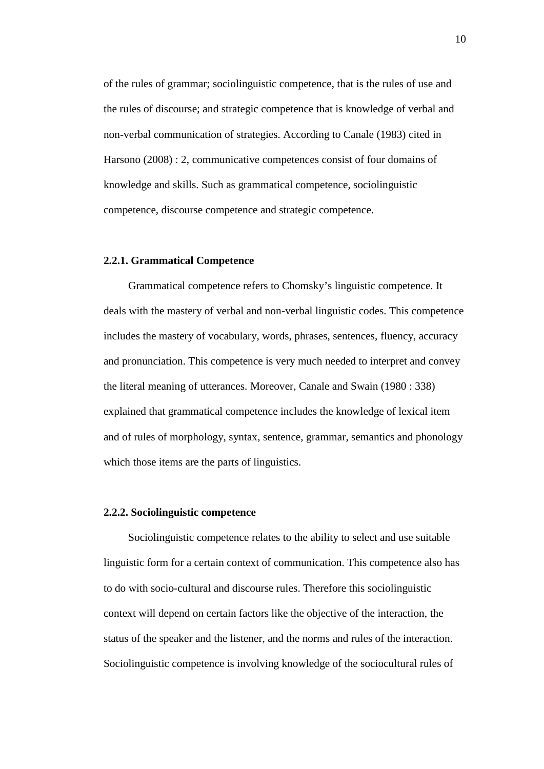of the rules of grammar; sociolinguistic competence, that is the rules of use and the rules of discourse; and strategic competence that is knowledge of verbal and non-verbal communication of strategies. According to Canale (1983) cited in Harsono (2008) : 2, communicative competences consist of four domains of knowledge and skills. Such as grammatical competence, sociolinguistic competence, discourse competence and strategic competence.

## **2.2.1. Grammatical Competence**

Grammatical competence refers to Chomsky's linguistic competence. It deals with the mastery of verbal and non-verbal linguistic codes. This competence includes the mastery of vocabulary, words, phrases, sentences, fluency, accuracy and pronunciation. This competence is very much needed to interpret and convey the literal meaning of utterances. Moreover, Canale and Swain (1980 : 338) explained that grammatical competence includes the knowledge of lexical item and of rules of morphology, syntax, sentence, grammar, semantics and phonology which those items are the parts of linguistics.

#### **2.2.2. Sociolinguistic competence**

Sociolinguistic competence relates to the ability to select and use suitable linguistic form for a certain context of communication. This competence also has to do with socio-cultural and discourse rules. Therefore this sociolinguistic context will depend on certain factors like the objective of the interaction, the status of the speaker and the listener, and the norms and rules of the interaction. Sociolinguistic competence is involving knowledge of the sociocultural rules of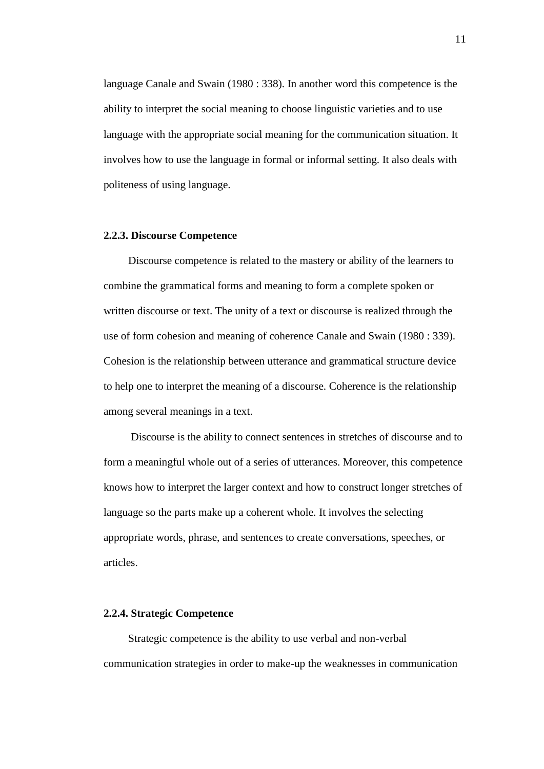language Canale and Swain (1980 : 338). In another word this competence is the ability to interpret the social meaning to choose linguistic varieties and to use language with the appropriate social meaning for the communication situation. It involves how to use the language in formal or informal setting. It also deals with politeness of using language.

#### **2.2.3. Discourse Competence**

Discourse competence is related to the mastery or ability of the learners to combine the grammatical forms and meaning to form a complete spoken or written discourse or text. The unity of a text or discourse is realized through the use of form cohesion and meaning of coherence Canale and Swain (1980 : 339). Cohesion is the relationship between utterance and grammatical structure device to help one to interpret the meaning of a discourse. Coherence is the relationship among several meanings in a text.

Discourse is the ability to connect sentences in stretches of discourse and to form a meaningful whole out of a series of utterances. Moreover, this competence knows how to interpret the larger context and how to construct longer stretches of language so the parts make up a coherent whole. It involves the selecting appropriate words, phrase, and sentences to create conversations, speeches, or articles.

## **2.2.4. Strategic Competence**

Strategic competence is the ability to use verbal and non-verbal communication strategies in order to make-up the weaknesses in communication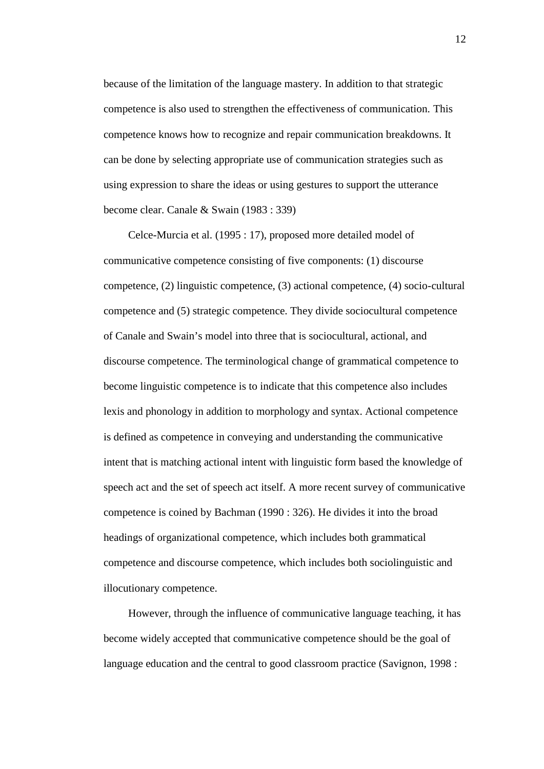because of the limitation of the language mastery. In addition to that strategic competence is also used to strengthen the effectiveness of communication. This competence knows how to recognize and repair communication breakdowns. It can be done by selecting appropriate use of communication strategies such as using expression to share the ideas or using gestures to support the utterance become clear. Canale & Swain (1983 : 339)

Celce-Murcia et al. (1995 : 17), proposed more detailed model of communicative competence consisting of five components: (1) discourse competence, (2) linguistic competence, (3) actional competence, (4) socio-cultural competence and (5) strategic competence. They divide sociocultural competence of Canale and Swain's model into three that is sociocultural, actional, and discourse competence. The terminological change of grammatical competence to become linguistic competence is to indicate that this competence also includes lexis and phonology in addition to morphology and syntax. Actional competence is defined as competence in conveying and understanding the communicative intent that is matching actional intent with linguistic form based the knowledge of speech act and the set of speech act itself. A more recent survey of communicative competence is coined by Bachman (1990 : 326). He divides it into the broad headings of organizational competence, which includes both grammatical competence and discourse competence, which includes both sociolinguistic and illocutionary competence.

However, through the influence of communicative language teaching, it has become widely accepted that communicative competence should be the goal of language education and the central to good classroom practice (Savignon, 1998 :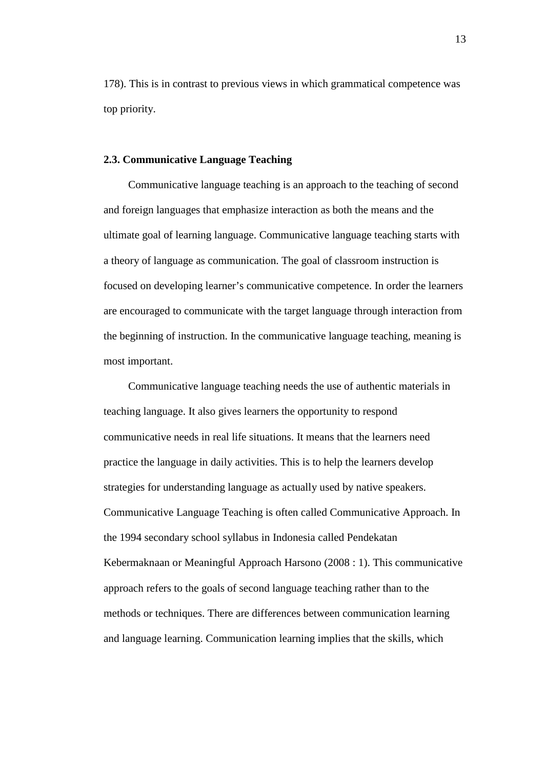178). This is in contrast to previous views in which grammatical competence was top priority.

## **2.3. Communicative Language Teaching**

Communicative language teaching is an approach to the teaching of second and foreign languages that emphasize interaction as both the means and the ultimate goal of learning language. Communicative language teaching starts with a theory of language as communication. The goal of classroom instruction is focused on developing learner's communicative competence. In order the learners are encouraged to communicate with the target language through interaction from the beginning of instruction. In the communicative language teaching, meaning is most important.

Communicative language teaching needs the use of authentic materials in teaching language. It also gives learners the opportunity to respond communicative needs in real life situations. It means that the learners need practice the language in daily activities. This is to help the learners develop strategies for understanding language as actually used by native speakers. Communicative Language Teaching is often called Communicative Approach. In the 1994 secondary school syllabus in Indonesia called Pendekatan Kebermaknaan or Meaningful Approach Harsono (2008 : 1).This communicative approach refers to the goals of second language teaching rather than to the methods or techniques. There are differences between communication learning and language learning. Communication learning implies that the skills, which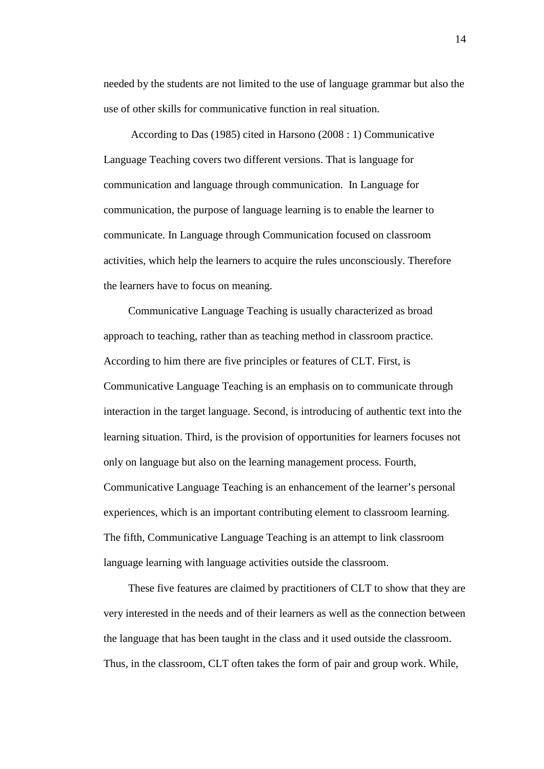needed by the students are not limited to the use of language grammar but also the use of other skills for communicative function in real situation.

According to Das (1985) cited in Harsono (2008 : 1) Communicative Language Teaching covers two different versions. That is language for communication and language through communication. In Language for communication, the purpose of language learning is to enable the learner to communicate. In Language through Communication focused on classroom activities, which help the learners to acquire the rules unconsciously. Therefore the learners have to focus on meaning.

Communicative Language Teaching is usually characterized as broad approach to teaching, rather than as teaching method in classroom practice. According to him there are five principles or features of CLT. First, is Communicative Language Teaching is an emphasis on to communicate through interaction in the target language. Second, is introducing of authentic text into the learning situation. Third, is the provision of opportunities for learners focuses not only on language but also on the learning management process. Fourth, Communicative Language Teaching is an enhancement of the learner's personal experiences, which is an important contributing element to classroom learning. The fifth, Communicative Language Teaching is an attempt to link classroom language learning with language activities outside the classroom.

These five features are claimed by practitioners of CLT to show that they are very interested in the needs and of their learners as well as the connection between the language that has been taught in the class and it used outside the classroom. Thus, in the classroom, CLT often takes the form of pair and group work. While,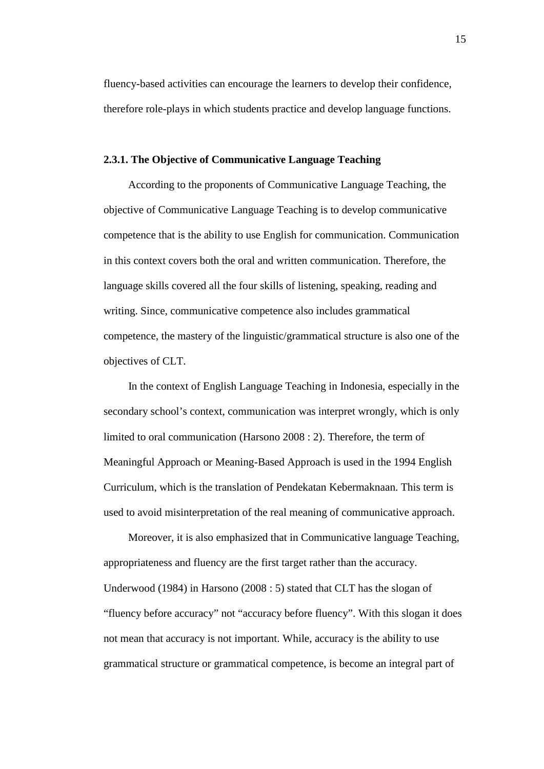fluency-based activities can encourage the learners to develop their confidence, therefore role-plays in which students practice and develop language functions.

### **2.3.1. The Objective of Communicative Language Teaching**

According to the proponents of Communicative Language Teaching, the objective of Communicative Language Teaching is to develop communicative competence that is the ability to use English for communication. Communication in this context covers both the oral and written communication. Therefore, the language skills covered all the four skills of listening, speaking, reading and writing. Since, communicative competence also includes grammatical competence, the mastery of the linguistic/grammatical structure is also one of the objectives of CLT.

In the context of English Language Teaching in Indonesia, especially in the secondary school's context, communication was interpret wrongly, which is only limited to oral communication (Harsono 2008 : 2). Therefore, the term of Meaningful Approach or Meaning-Based Approach is used in the 1994 English Curriculum, which is the translation of Pendekatan Kebermaknaan. This term is used to avoid misinterpretation of the real meaning of communicative approach.

Moreover, it is also emphasized that in Communicative language Teaching, appropriateness and fluency are the first target rather than the accuracy. Underwood (1984) in Harsono (2008 : 5) stated that CLT has the slogan of "fluency before accuracy" not "accuracy before fluency". With this slogan it does not mean that accuracy is not important. While, accuracy is the ability to use grammatical structure or grammatical competence, is become an integral part of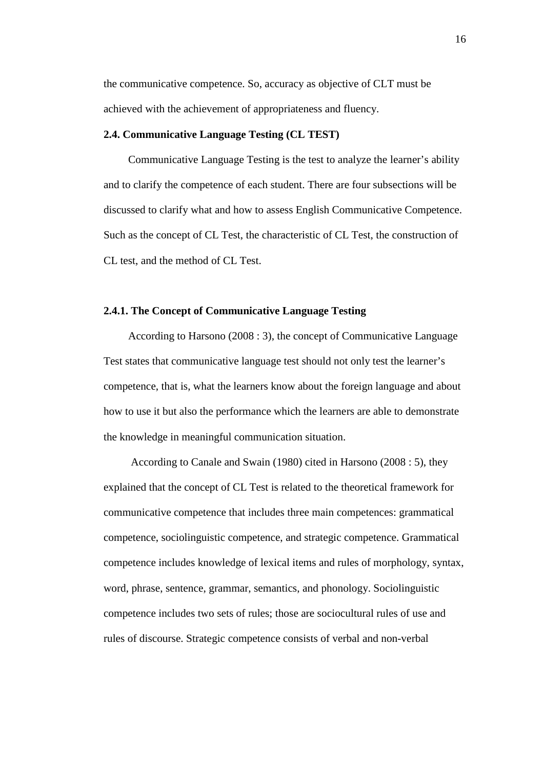the communicative competence. So, accuracy as objective of CLT must be achieved with the achievement of appropriateness and fluency.

## **2.4. Communicative Language Testing (CL TEST)**

Communicative Language Testing is the test to analyze the learner's ability and to clarify the competence of each student. There are four subsections will be discussed to clarify what and how to assess English Communicative Competence. Such as the concept of CL Test, the characteristic of CL Test, the construction of CL test, and the method of CL Test.

## **2.4.1. The Concept of Communicative Language Testing**

According to Harsono (2008 : 3), the concept of Communicative Language Test states that communicative language test should not only test the learner's competence, that is, what the learners know about the foreign language and about how to use it but also the performance which the learners are able to demonstrate the knowledge in meaningful communication situation.

According to Canale and Swain (1980) cited in Harsono (2008 : 5), they explained that the concept of CL Test is related to the theoretical framework for communicative competence that includes three main competences: grammatical competence, sociolinguistic competence, and strategic competence. Grammatical competence includes knowledge of lexical items and rules of morphology, syntax, word, phrase, sentence, grammar, semantics, and phonology. Sociolinguistic competence includes two sets of rules; those are sociocultural rules of use and rules of discourse. Strategic competence consists of verbal and non-verbal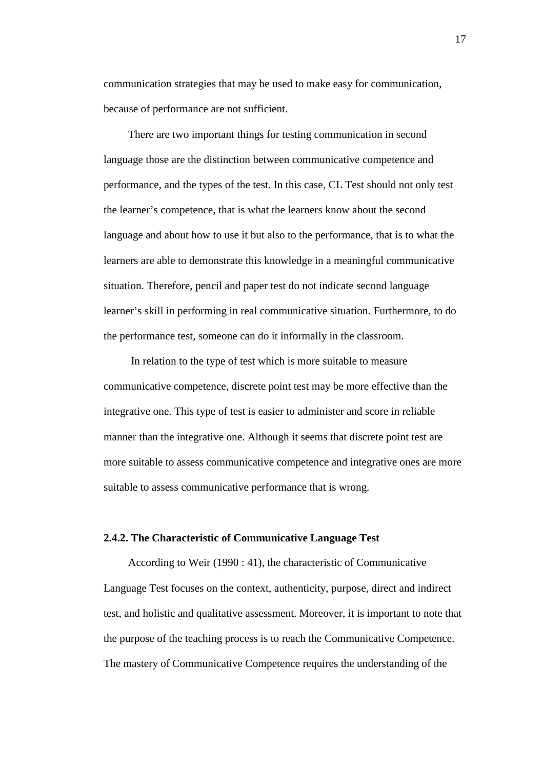communication strategies that may be used to make easy for communication, because of performance are not sufficient.

There are two important things for testing communication in second language those are the distinction between communicative competence and performance, and the types of the test. In this case, CL Test should not only test the learner's competence, that is what the learners know about the second language and about how to use it but also to the performance, that is to what the learners are able to demonstrate this knowledge in a meaningful communicative situation. Therefore, pencil and paper test do not indicate second language learner's skill in performing in real communicative situation. Furthermore, to do the performance test, someone can do it informally in the classroom.

In relation to the type of test which is more suitable to measure communicative competence, discrete point test may be more effective than the integrative one. This type of test is easier to administer and score in reliable manner than the integrative one. Although it seems that discrete point test are more suitable to assess communicative competence and integrative ones are more suitable to assess communicative performance that is wrong.

### **2.4.2. The Characteristic of Communicative Language Test**

According to Weir (1990 : 41), the characteristic of Communicative Language Test focuses on the context, authenticity, purpose, direct and indirect test, and holistic and qualitative assessment. Moreover, it is important to note that the purpose of the teaching process is to reach the Communicative Competence. The mastery of Communicative Competence requires the understanding of the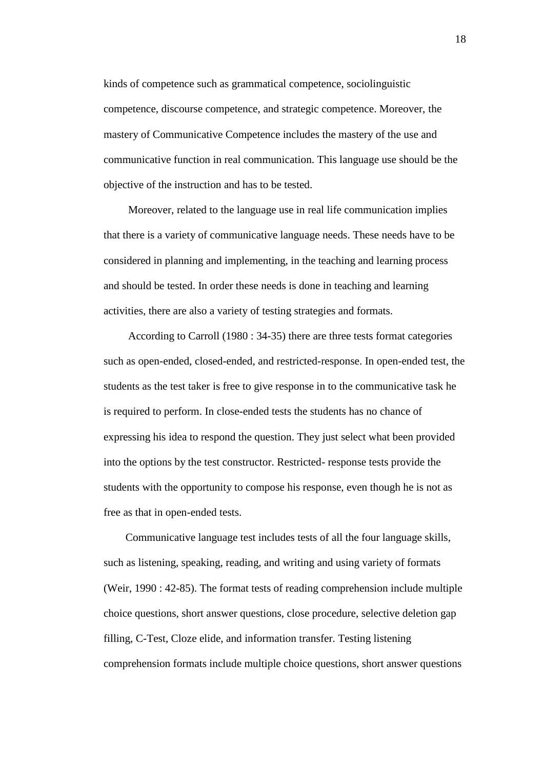kinds of competence such as grammatical competence, sociolinguistic competence, discourse competence, and strategic competence. Moreover, the mastery of Communicative Competence includes the mastery of the use and communicative function in real communication. This language use should be the objective of the instruction and has to be tested.

Moreover, related to the language use in real life communication implies that there is a variety of communicative language needs. These needs have to be considered in planning and implementing, in the teaching and learning process and should be tested. In order these needs is done in teaching and learning activities, there are also a variety of testing strategies and formats.

According to Carroll (1980 : 34-35) there are three tests format categories such as open-ended, closed-ended, and restricted-response. In open-ended test, the students as the test taker is free to give response in to the communicative task he is required to perform. In close-ended tests the students has no chance of expressing his idea to respond the question. They just select what been provided into the options by the test constructor. Restricted- response tests provide the students with the opportunity to compose his response, even though he is not as free as that in open-ended tests.

Communicative language test includes tests of all the four language skills, such as listening, speaking, reading, and writing and using variety of formats (Weir, 1990 : 42-85). The format tests of reading comprehension include multiple choice questions, short answer questions, close procedure, selective deletion gap filling, C-Test, Cloze elide, and information transfer. Testing listening comprehension formats include multiple choice questions, short answer questions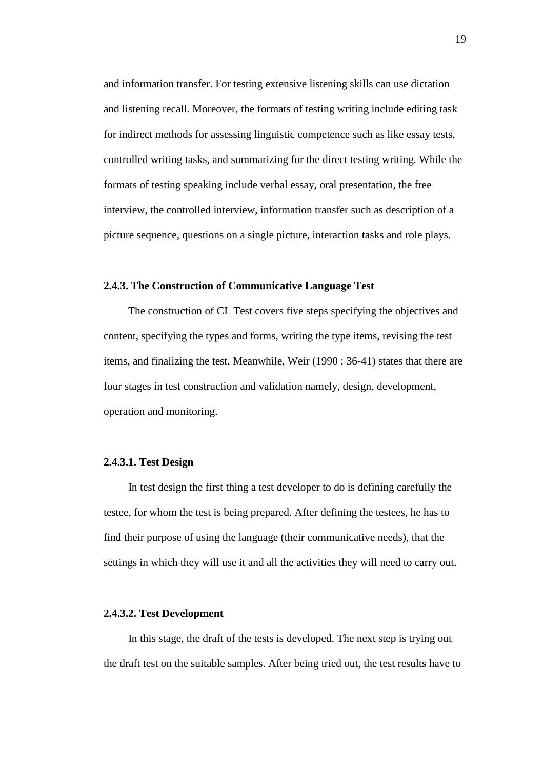and information transfer. For testing extensive listening skills can use dictation and listening recall. Moreover, the formats of testing writing include editing task for indirect methods for assessing linguistic competence such as like essay tests, controlled writing tasks, and summarizing for the direct testing writing. While the formats of testing speaking include verbal essay, oral presentation, the free interview, the controlled interview, information transfer such as description of a picture sequence, questions on a single picture, interaction tasks and role plays.

## **2.4.3. The Construction of Communicative Language Test**

The construction of CL Test covers five steps specifying the objectives and content, specifying the types and forms, writing the type items, revising the test items, and finalizing the test. Meanwhile, Weir (1990 : 36-41) states that there are four stages in test construction and validation namely, design, development, operation and monitoring.

## **2.4.3.1. Test Design**

In test design the first thing a test developer to do is defining carefully the testee, for whom the test is being prepared. After defining the testees, he has to find their purpose of using the language (their communicative needs), that the settings in which they will use it and all the activities they will need to carry out.

### **2.4.3.2. Test Development**

In this stage, the draft of the tests is developed. The next step is trying out the draft test on the suitable samples. After being tried out, the test results have to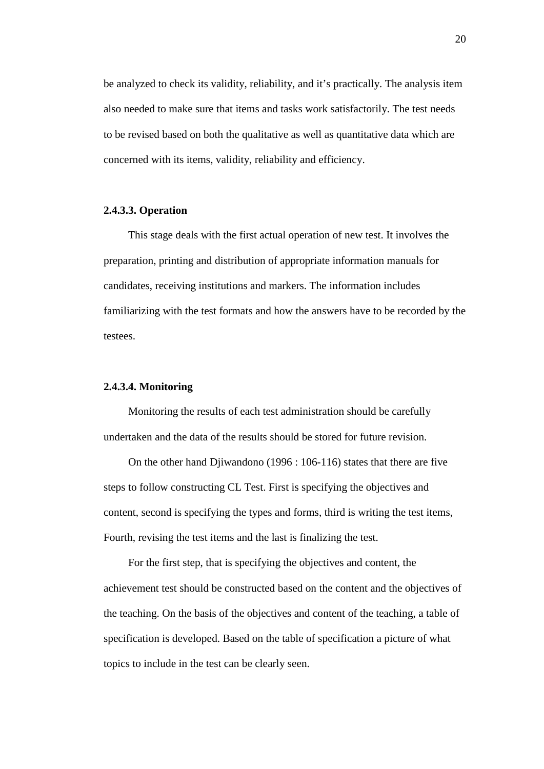be analyzed to check its validity, reliability, and it's practically. The analysis item also needed to make sure that items and tasks work satisfactorily. The test needs to be revised based on both the qualitative as well as quantitative data which are concerned with its items, validity, reliability and efficiency.

## **2.4.3.3. Operation**

This stage deals with the first actual operation of new test. It involves the preparation, printing and distribution of appropriate information manuals for candidates, receiving institutions and markers. The information includes familiarizing with the test formats and how the answers have to be recorded by the testees.

## **2.4.3.4. Monitoring**

Monitoring the results of each test administration should be carefully undertaken and the data of the results should be stored for future revision.

On the other hand Djiwandono (1996 : 106-116) states that there are five steps to follow constructing CL Test. First is specifying the objectives and content, second is specifying the types and forms, third is writing the test items, Fourth, revising the test items and the last is finalizing the test.

For the first step, that is specifying the objectives and content, the achievement test should be constructed based on the content and the objectives of the teaching. On the basis of the objectives and content of the teaching, a table of specification is developed. Based on the table of specification a picture of what topics to include in the test can be clearly seen.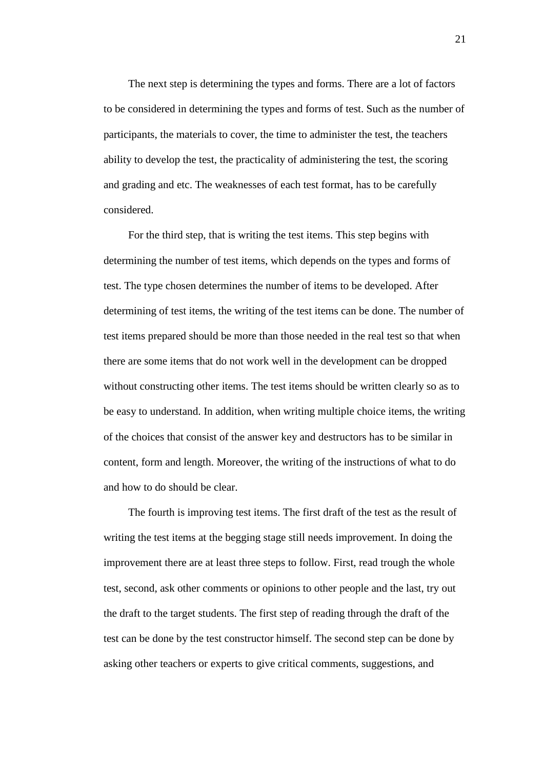The next step is determining the types and forms. There are a lot of factors to be considered in determining the types and forms of test. Such as the number of participants, the materials to cover, the time to administer the test, the teachers ability to develop the test, the practicality of administering the test, the scoring and grading and etc. The weaknesses of each test format, has to be carefully considered.

For the third step, that is writing the test items. This step begins with determining the number of test items, which depends on the types and forms of test. The type chosen determines the number of items to be developed. After determining of test items, the writing of the test items can be done. The number of test items prepared should be more than those needed in the real test so that when there are some items that do not work well in the development can be dropped without constructing other items. The test items should be written clearly so as to be easy to understand. In addition, when writing multiple choice items, the writing of the choices that consist of the answer key and destructors has to be similar in content, form and length. Moreover, the writing of the instructions of what to do and how to do should be clear.

The fourth is improving test items. The first draft of the test as the result of writing the test items at the begging stage still needs improvement. In doing the improvement there are at least three steps to follow. First, read trough the whole test, second, ask other comments or opinions to other people and the last, try out the draft to the target students. The first step of reading through the draft of the test can be done by the test constructor himself. The second step can be done by asking other teachers or experts to give critical comments, suggestions, and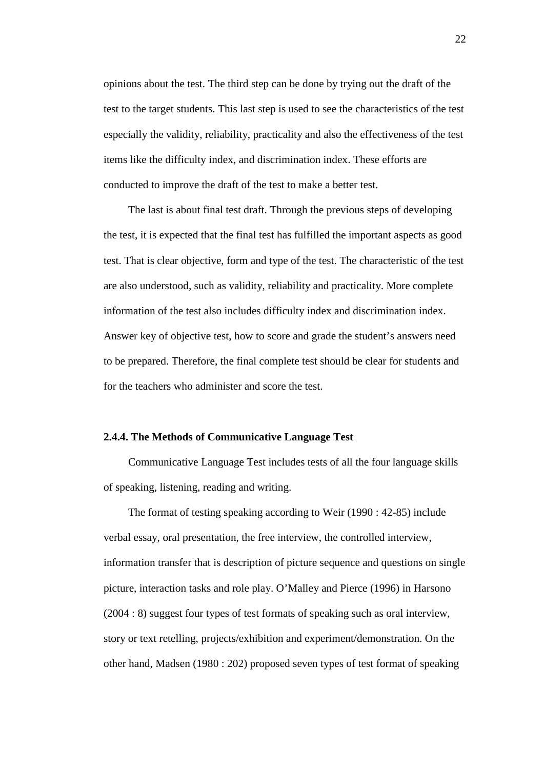opinions about the test. The third step can be done by trying out the draft of the test to the target students. This last step is used to see the characteristics of the test especially the validity, reliability, practicality and also the effectiveness of the test items like the difficulty index, and discrimination index. These efforts are conducted to improve the draft of the test to make a better test.

The last is about final test draft. Through the previous steps of developing the test, it is expected that the final test has fulfilled the important aspects as good test. That is clear objective, form and type of the test. The characteristic of the test are also understood, such as validity, reliability and practicality. More complete information of the test also includes difficulty index and discrimination index. Answer key of objective test, how to score and grade the student's answers need to be prepared. Therefore, the final complete test should be clear for students and for the teachers who administer and score the test.

# **2.4.4. The Methods of Communicative Language Test**

Communicative Language Test includes tests of all the four language skills of speaking, listening, reading and writing.

The format of testing speaking according to Weir (1990 : 42-85) include verbal essay, oral presentation, the free interview, the controlled interview, information transfer that is description of picture sequence and questions on single picture, interaction tasks and role play. O'Malley and Pierce (1996) in Harsono (2004 : 8) suggest four types of test formats of speaking such as oral interview, story or text retelling, projects/exhibition and experiment/demonstration. On the other hand, Madsen (1980 : 202) proposed seven types of test format of speaking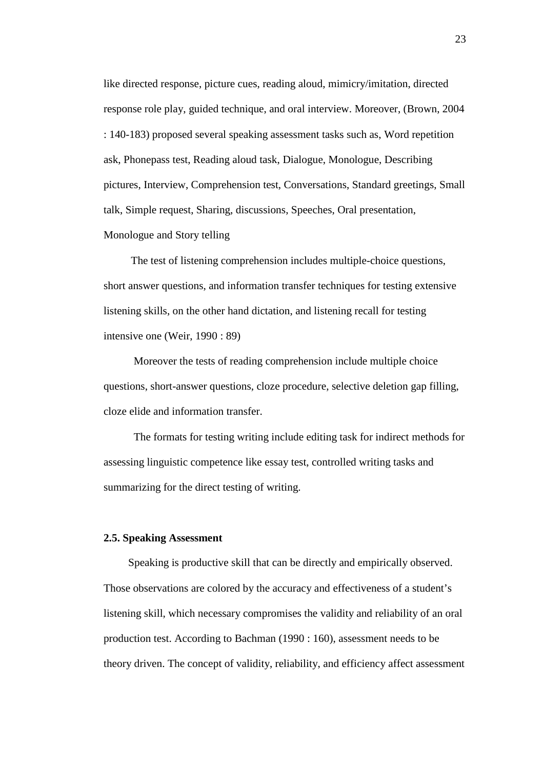like directed response, picture cues, reading aloud, mimicry/imitation, directed response role play, guided technique, and oral interview. Moreover, (Brown, 2004 : 140-183) proposed several speaking assessment tasks such as, Word repetition ask, Phonepass test, Reading aloud task, Dialogue, Monologue, Describing pictures, Interview, Comprehension test, Conversations, Standard greetings, Small talk, Simple request, Sharing, discussions, Speeches, Oral presentation, Monologue and Story telling

The test of listening comprehension includes multiple-choice questions, short answer questions, and information transfer techniques for testing extensive listening skills, on the other hand dictation, and listening recall for testing intensive one (Weir, 1990 : 89)

Moreover the tests of reading comprehension include multiple choice questions, short-answer questions, cloze procedure, selective deletion gap filling, cloze elide and information transfer.

The formats for testing writing include editing task for indirect methods for assessing linguistic competence like essay test, controlled writing tasks and summarizing for the direct testing of writing.

### **2.5. Speaking Assessment**

Speaking is productive skill that can be directly and empirically observed. Those observations are colored by the accuracy and effectiveness of a student's listening skill, which necessary compromises the validity and reliability of an oral production test. According to Bachman (1990 : 160), assessment needs to be theory driven. The concept of validity, reliability, and efficiency affect assessment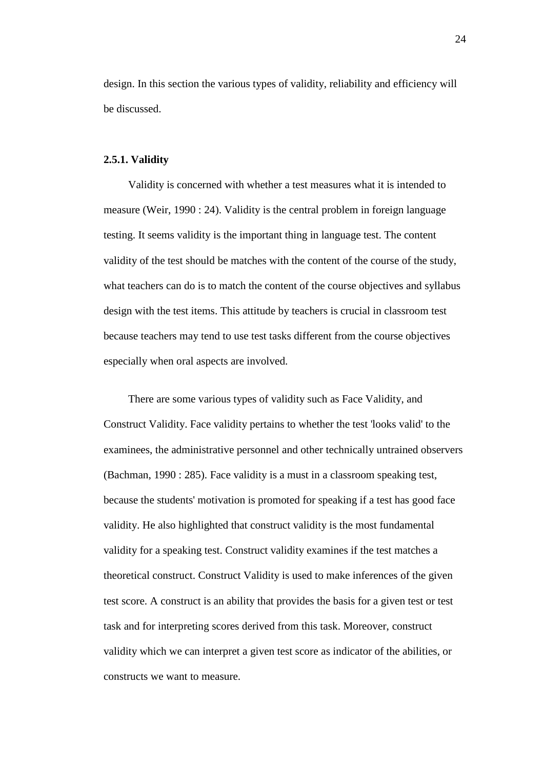design. In this section the various types of validity, reliability and efficiency will be discussed.

## **2.5.1. Validity**

Validity is concerned with whether a test measures what it is intended to measure (Weir, 1990 : 24). Validity is the central problem in foreign language testing. It seems validity is the important thing in language test. The content validity of the test should be matches with the content of the course of the study, what teachers can do is to match the content of the course objectives and syllabus design with the test items. This attitude by teachers is crucial in classroom test because teachers may tend to use test tasks different from the course objectives especially when oral aspects are involved.

There are some various types of validity such as Face Validity, and Construct Validity. Face validity pertains to whether the test 'looks valid' to the examinees, the administrative personnel and other technically untrained observers (Bachman, 1990 : 285). Face validity is a must in a classroom speaking test, because the students' motivation is promoted for speaking if a test has good face validity. He also highlighted that construct validity is the most fundamental validity for a speaking test. Construct validity examines if the test matches a theoretical construct. Construct Validity is used to make inferences of the given test score. A construct is an ability that provides the basis for a given test or test task and for interpreting scores derived from this task. Moreover, construct validity which we can interpret a given test score as indicator of the abilities, or constructs we want to measure.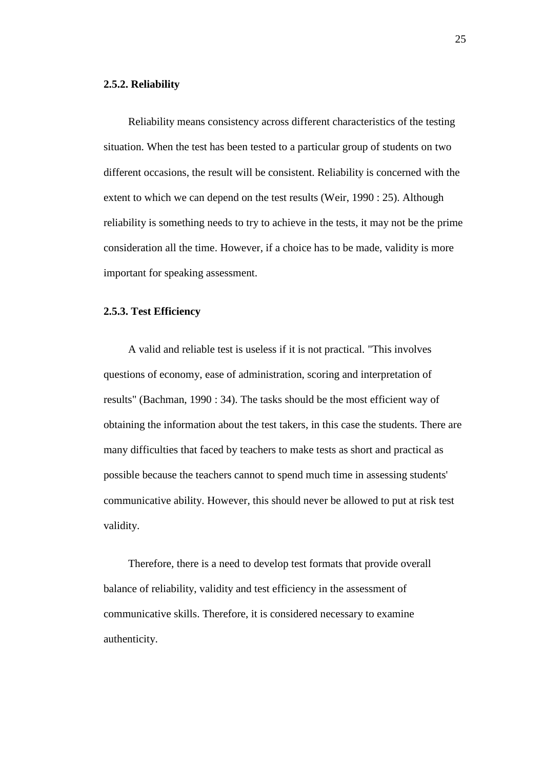## **2.5.2. Reliability**

Reliability means consistency across different characteristics of the testing situation. When the test has been tested to a particular group of students on two different occasions, the result will be consistent. Reliability is concerned with the extent to which we can depend on the test results (Weir, 1990 : 25). Although reliability is something needs to try to achieve in the tests, it may not be the prime consideration all the time. However, if a choice has to be made, validity is more important for speaking assessment.

## **2.5.3. Test Efficiency**

A valid and reliable test is useless if it is not practical. "This involves questions of economy, ease of administration, scoring and interpretation of results" (Bachman, 1990 : 34). The tasks should be the most efficient way of obtaining the information about the test takers, in this case the students. There are many difficulties that faced by teachers to make tests as short and practical as possible because the teachers cannot to spend much time in assessing students' communicative ability. However, this should never be allowed to put at risk test validity.

Therefore, there is a need to develop test formats that provide overall balance of reliability, validity and test efficiency in the assessment of communicative skills. Therefore, it is considered necessary to examine authenticity.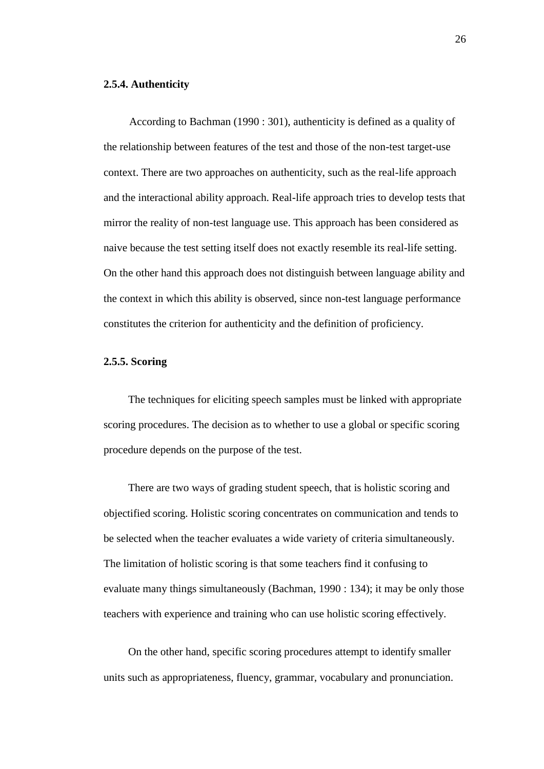### **2.5.4. Authenticity**

According to Bachman (1990 : 301), authenticity is defined as a quality of the relationship between features of the test and those of the non-test target-use context. There are two approaches on authenticity, such as the real-life approach and the interactional ability approach. Real-life approach tries to develop tests that mirror the reality of non-test language use. This approach has been considered as naive because the test setting itself does not exactly resemble its real-life setting. On the other hand this approach does not distinguish between language ability and the context in which this ability is observed, since non-test language performance constitutes the criterion for authenticity and the definition of proficiency.

## **2.5.5. Scoring**

The techniques for eliciting speech samples must be linked with appropriate scoring procedures. The decision as to whether to use a global or specific scoring procedure depends on the purpose of the test.

There are two ways of grading student speech, that is holistic scoring and objectified scoring. Holistic scoring concentrates on communication and tends to be selected when the teacher evaluates a wide variety of criteria simultaneously. The limitation of holistic scoring is that some teachers find it confusing to evaluate many things simultaneously (Bachman, 1990 : 134); it may be only those teachers with experience and training who can use holistic scoring effectively.

On the other hand, specific scoring procedures attempt to identify smaller units such as appropriateness, fluency, grammar, vocabulary and pronunciation.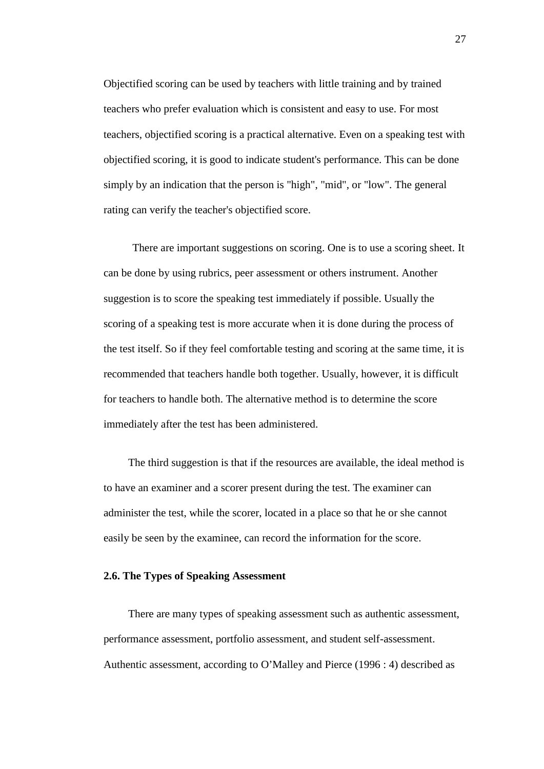Objectified scoring can be used by teachers with little training and by trained teachers who prefer evaluation which is consistent and easy to use. For most teachers, objectified scoring is a practical alternative. Even on a speaking test with objectified scoring, it is good to indicate student's performance. This can be done simply by an indication that the person is "high", "mid", or "low". The general rating can verify the teacher's objectified score.

There are important suggestions on scoring. One is to use a scoring sheet. It can be done by using rubrics, peer assessment or others instrument. Another suggestion is to score the speaking test immediately if possible. Usually the scoring of a speaking test is more accurate when it is done during the process of the test itself. So if they feel comfortable testing and scoring at the same time, it is recommended that teachers handle both together. Usually, however, it is difficult for teachers to handle both. The alternative method is to determine the score immediately after the test has been administered.

The third suggestion is that if the resources are available, the ideal method is to have an examiner and a scorer present during the test. The examiner can administer the test, while the scorer, located in a place so that he or she cannot easily be seen by the examinee, can record the information for the score.

## **2.6. The Types of Speaking Assessment**

There are many types of speaking assessment such as authentic assessment, performance assessment, portfolio assessment, and student self-assessment. Authentic assessment, according to O'Malley and Pierce (1996 : 4) described as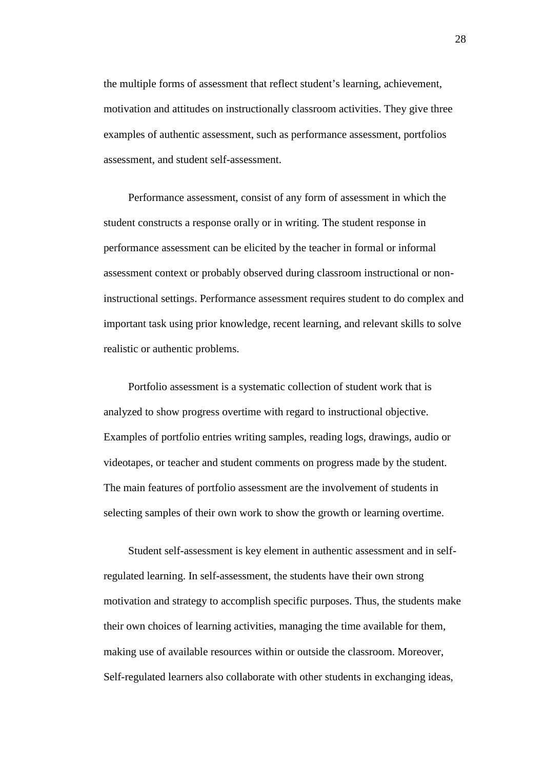the multiple forms of assessment that reflect student's learning, achievement, motivation and attitudes on instructionally classroom activities. They give three examples of authentic assessment, such as performance assessment, portfolios assessment, and student self-assessment.

Performance assessment, consist of any form of assessment in which the student constructs a response orally or in writing. The student response in performance assessment can be elicited by the teacher in formal or informal assessment context or probably observed during classroom instructional or noninstructional settings. Performance assessment requires student to do complex and important task using prior knowledge, recent learning, and relevant skills to solve realistic or authentic problems.

Portfolio assessment is a systematic collection of student work that is analyzed to show progress overtime with regard to instructional objective. Examples of portfolio entries writing samples, reading logs, drawings, audio or videotapes, or teacher and student comments on progress made by the student. The main features of portfolio assessment are the involvement of students in selecting samples of their own work to show the growth or learning overtime.

Student self-assessment is key element in authentic assessment and in selfregulated learning. In self-assessment, the students have their own strong motivation and strategy to accomplish specific purposes. Thus, the students make their own choices of learning activities, managing the time available for them, making use of available resources within or outside the classroom. Moreover, Self-regulated learners also collaborate with other students in exchanging ideas,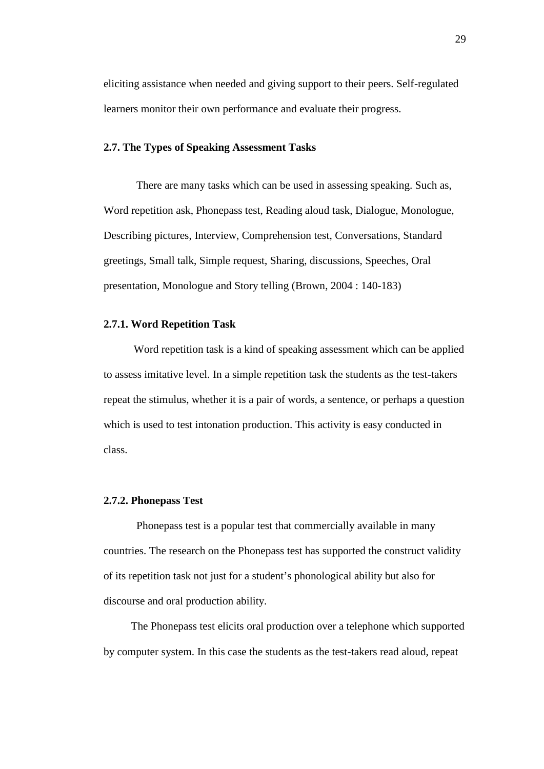eliciting assistance when needed and giving support to their peers. Self-regulated learners monitor their own performance and evaluate their progress.

## **2.7. The Types of Speaking Assessment Tasks**

There are many tasks which can be used in assessing speaking. Such as, Word repetition ask, Phonepass test, Reading aloud task, Dialogue, Monologue, Describing pictures, Interview, Comprehension test, Conversations, Standard greetings, Small talk, Simple request, Sharing, discussions, Speeches, Oral presentation, Monologue and Story telling (Brown, 2004 : 140-183)

## **2.7.1. Word Repetition Task**

Word repetition task is a kind of speaking assessment which can be applied to assess imitative level. In a simple repetition task the students as the test-takers repeat the stimulus, whether it is a pair of words, a sentence, or perhaps a question which is used to test intonation production. This activity is easy conducted in class.

### **2.7.2. Phonepass Test**

Phonepass test is a popular test that commercially available in many countries. The research on the Phonepass test has supported the construct validity of its repetition task not just for a student's phonological ability but also for discourse and oral production ability.

The Phonepass test elicits oral production over a telephone which supported by computer system. In this case the students as the test-takers read aloud, repeat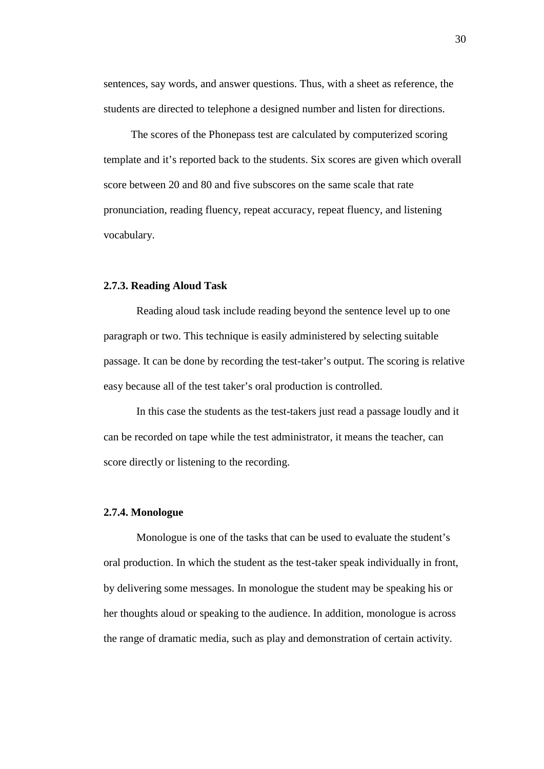sentences, say words, and answer questions. Thus, with a sheet as reference, the students are directed to telephone a designed number and listen for directions.

The scores of the Phonepass test are calculated by computerized scoring template and it's reported back to the students. Six scores are given which overall score between 20 and 80 and five subscores on the same scale that rate pronunciation, reading fluency, repeat accuracy, repeat fluency, and listening vocabulary.

#### **2.7.3. Reading Aloud Task**

Reading aloud task include reading beyond the sentence level up to one paragraph or two. This technique is easily administered by selecting suitable passage. It can be done by recording the test-taker's output. The scoring is relative easy because all of the test taker's oral production is controlled.

In this case the students as the test-takers just read a passage loudly and it can be recorded on tape while the test administrator, it means the teacher, can score directly or listening to the recording.

### **2.7.4. Monologue**

Monologue is one of the tasks that can be used to evaluate the student's oral production. In which the student as the test-taker speak individually in front, by delivering some messages. In monologue the student may be speaking his or her thoughts aloud or speaking to the audience. In addition, monologue is across the range of dramatic media, such as play and demonstration of certain activity.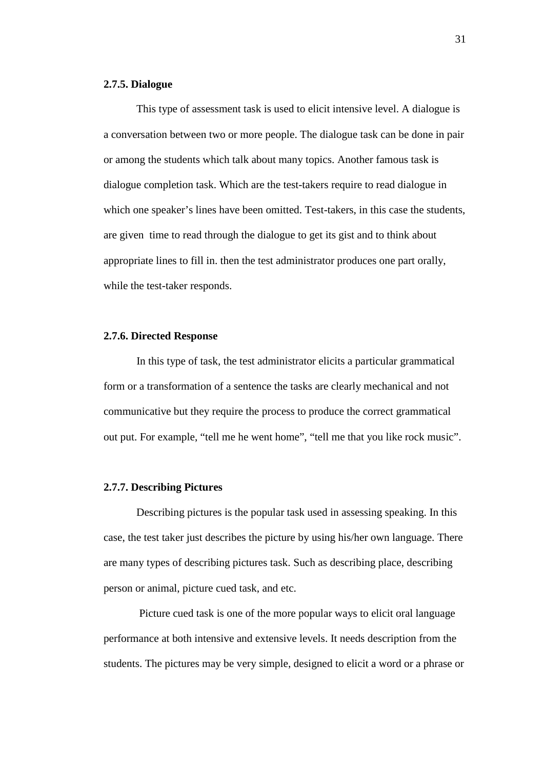## **2.7.5. Dialogue**

This type of assessment task is used to elicit intensive level. A dialogue is a conversation between two or more people. The dialogue task can be done in pair or among the students which talk about many topics. Another famous task is dialogue completion task. Which are the test-takers require to read dialogue in which one speaker's lines have been omitted. Test-takers, in this case the students, are given time to read through the dialogue to get its gist and to think about appropriate lines to fill in. then the test administrator produces one part orally, while the test-taker responds.

## **2.7.6. Directed Response**

In this type of task, the test administrator elicits a particular grammatical form or a transformation of a sentence the tasks are clearly mechanical and not communicative but they require the process to produce the correct grammatical out put. For example, "tell me he went home", "tell me that you like rock music".

### **2.7.7. Describing Pictures**

Describing pictures is the popular task used in assessing speaking. In this case, the test taker just describes the picture by using his/her own language. There are many types of describing pictures task. Such as describing place, describing person or animal, picture cued task, and etc.

Picture cued task is one of the more popular ways to elicit oral language performance at both intensive and extensive levels. It needs description from the students. The pictures may be very simple, designed to elicit a word or a phrase or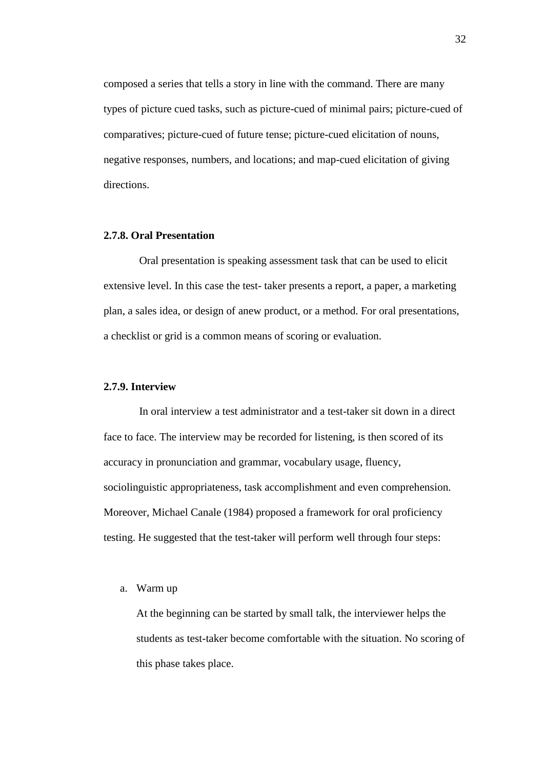composed a series that tells a story in line with the command. There are many types of picture cued tasks, such as picture-cued of minimal pairs; picture-cued of comparatives; picture-cued of future tense; picture-cued elicitation of nouns, negative responses, numbers, and locations; and map-cued elicitation of giving directions.

## **2.7.8. Oral Presentation**

Oral presentation is speaking assessment task that can be used to elicit extensive level. In this case the test- taker presents a report, a paper, a marketing plan, a sales idea, or design of anew product, or a method. For oral presentations, a checklist or grid is a common means of scoring or evaluation.

## **2.7.9. Interview**

In oral interview a test administrator and a test-taker sit down in a direct face to face. The interview may be recorded for listening, is then scored of its accuracy in pronunciation and grammar, vocabulary usage, fluency, sociolinguistic appropriateness, task accomplishment and even comprehension. Moreover, Michael Canale (1984) proposed a framework for oral proficiency testing. He suggested that the test-taker will perform well through four steps:

## a. Warm up

At the beginning can be started by small talk, the interviewer helps the students as test-taker become comfortable with the situation. No scoring of this phase takes place.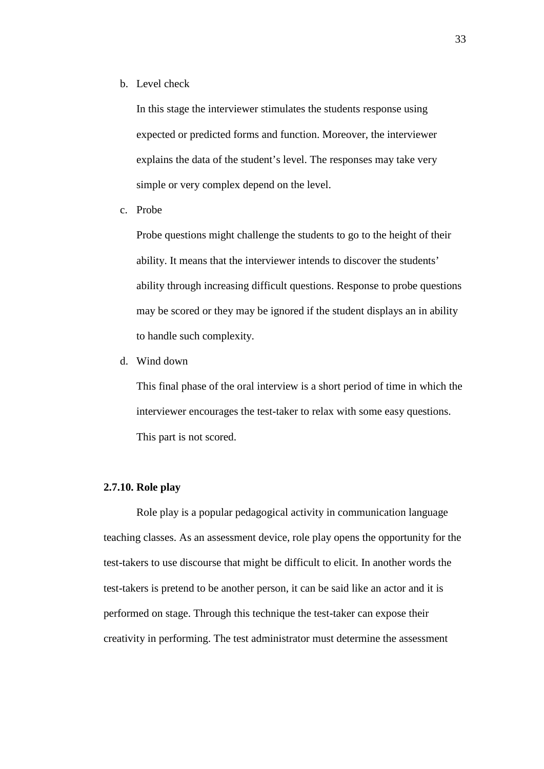b. Level check

In this stage the interviewer stimulates the students response using expected or predicted forms and function. Moreover, the interviewer explains the data of the student's level. The responses may take very simple or very complex depend on the level.

c. Probe

Probe questions might challenge the students to go to the height of their ability. It means that the interviewer intends to discover the students' ability through increasing difficult questions. Response to probe questions may be scored or they may be ignored if the student displays an in ability to handle such complexity.

d. Wind down

This final phase of the oral interview is a short period of time in which the interviewer encourages the test-taker to relax with some easy questions. This part is not scored.

## **2.7.10. Role play**

Role play is a popular pedagogical activity in communication language teaching classes. As an assessment device, role play opens the opportunity for the test-takers to use discourse that might be difficult to elicit. In another words the test-takers is pretend to be another person, it can be said like an actor and it is performed on stage. Through this technique the test-taker can expose their creativity in performing. The test administrator must determine the assessment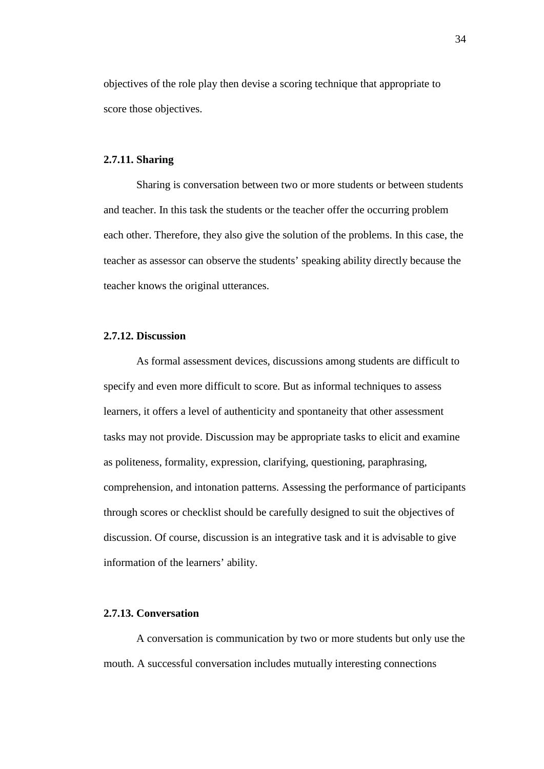objectives of the role play then devise a scoring technique that appropriate to score those objectives.

## **2.7.11. Sharing**

Sharing is conversation between two or more students or between students and teacher. In this task the students or the teacher offer the occurring problem each other. Therefore, they also give the solution of the problems. In this case, the teacher as assessor can observe the students' speaking ability directly because the teacher knows the original utterances.

## **2.7.12. Discussion**

As formal assessment devices, discussions among students are difficult to specify and even more difficult to score. But as informal techniques to assess learners, it offers a level of authenticity and spontaneity that other assessment tasks may not provide. Discussion may be appropriate tasks to elicit and examine as politeness, formality, expression, clarifying, questioning, paraphrasing, comprehension, and intonation patterns. Assessing the performance of participants through scores or checklist should be carefully designed to suit the objectives of discussion. Of course, discussion is an integrative task and it is advisable to give information of the learners' ability.

## **2.7.13. Conversation**

A conversation is communication by two or more students but only use the mouth. A successful conversation includes mutually interesting connections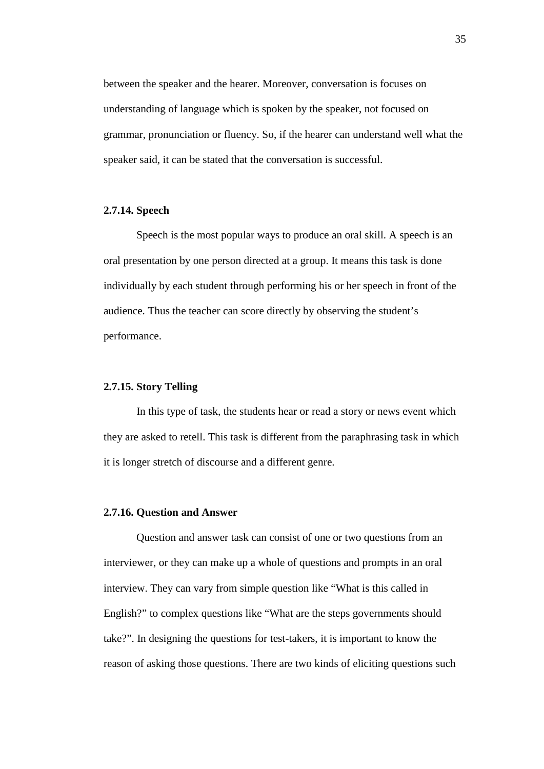between the speaker and the hearer. Moreover, conversation is focuses on understanding of language which is spoken by the speaker, not focused on grammar, pronunciation or fluency. So, if the hearer can understand well what the speaker said, it can be stated that the conversation is successful.

# **2.7.14. Speech**

Speech is the most popular ways to produce an oral skill. A speech is an oral presentation by one person directed at a group. It means this task is done individually by each student through performing his or her speech in front of the audience. Thus the teacher can score directly by observing the student's performance.

# **2.7.15. Story Telling**

In this type of task, the students hear or read a story or news event which they are asked to retell. This task is different from the paraphrasing task in which it is longer stretch of discourse and a different genre.

#### **2.7.16. Question and Answer**

Question and answer task can consist of one or two questions from an interviewer, or they can make up a whole of questions and prompts in an oral interview. They can vary from simple question like "What is this called in English?" to complex questions like "What are the steps governments should take?". In designing the questions for test-takers, it is important to know the reason of asking those questions. There are two kinds of eliciting questions such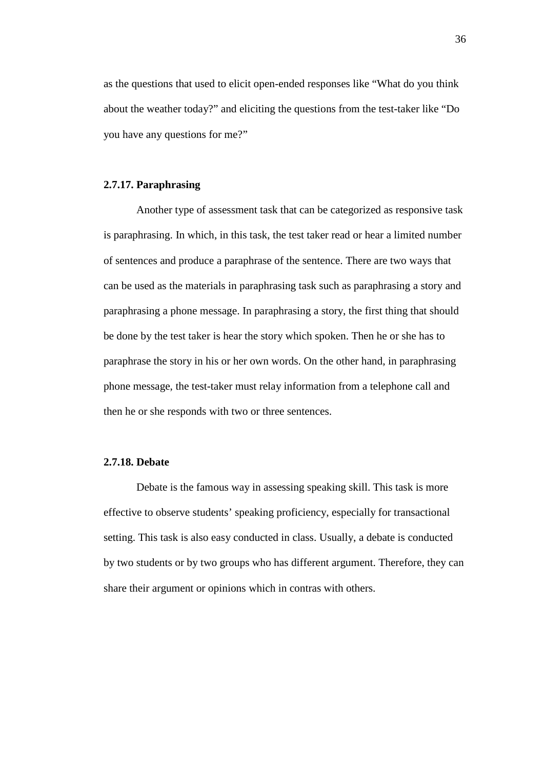as the questions that used to elicit open-ended responses like "What do you think about the weather today?" and eliciting the questions from the test-taker like "Do you have any questions for me?"

### **2.7.17. Paraphrasing**

Another type of assessment task that can be categorized as responsive task is paraphrasing. In which, in this task, the test taker read or hear a limited number of sentences and produce a paraphrase of the sentence. There are two ways that can be used as the materials in paraphrasing task such as paraphrasing a story and paraphrasing a phone message. In paraphrasing a story, the first thing that should be done by the test taker is hear the story which spoken. Then he or she has to paraphrase the story in his or her own words. On the other hand, in paraphrasing phone message, the test-taker must relay information from a telephone call and then he or she responds with two or three sentences.

## **2.7.18. Debate**

Debate is the famous way in assessing speaking skill. This task is more effective to observe students' speaking proficiency, especially for transactional setting. This task is also easy conducted in class. Usually, a debate is conducted by two students or by two groups who has different argument. Therefore, they can share their argument or opinions which in contras with others.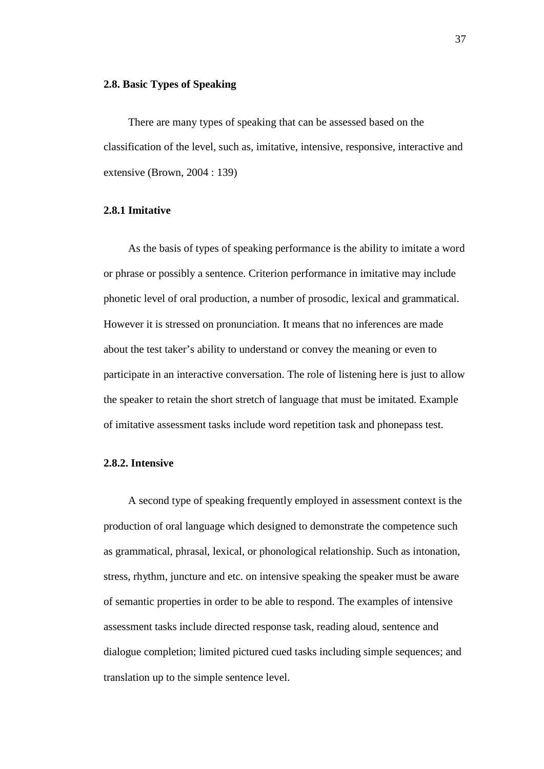## **2.8. Basic Types of Speaking**

There are many types of speaking that can be assessed based on the classification of the level, such as, imitative, intensive, responsive, interactive and extensive (Brown, 2004 : 139)

## **2.8.1 Imitative**

As the basis of types of speaking performance is the ability to imitate a word or phrase or possibly a sentence. Criterion performance in imitative may include phonetic level of oral production, a number of prosodic, lexical and grammatical. However it is stressed on pronunciation. It means that no inferences are made about the test taker's ability to understand or convey the meaning or even to participate in an interactive conversation. The role of listening here is just to allow the speaker to retain the short stretch of language that must be imitated. Example of imitative assessment tasks include word repetition task and phonepass test.

## **2.8.2. Intensive**

A second type of speaking frequently employed in assessment context is the production of oral language which designed to demonstrate the competence such as grammatical, phrasal, lexical, or phonological relationship. Such as intonation, stress, rhythm, juncture and etc. on intensive speaking the speaker must be aware of semantic properties in order to be able to respond. The examples of intensive assessment tasks include directed response task, reading aloud, sentence and dialogue completion; limited pictured cued tasks including simple sequences; and translation up to the simple sentence level.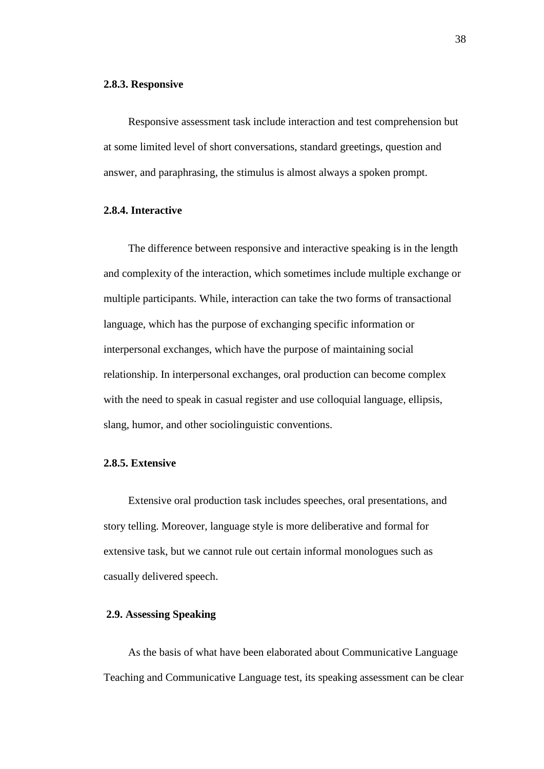#### **2.8.3. Responsive**

Responsive assessment task include interaction and test comprehension but at some limited level of short conversations, standard greetings, question and answer, and paraphrasing, the stimulus is almost always a spoken prompt.

## **2.8.4. Interactive**

The difference between responsive and interactive speaking is in the length and complexity of the interaction, which sometimes include multiple exchange or multiple participants. While, interaction can take the two forms of transactional language, which has the purpose of exchanging specific information or interpersonal exchanges, which have the purpose of maintaining social relationship. In interpersonal exchanges, oral production can become complex with the need to speak in casual register and use colloquial language, ellipsis, slang, humor, and other sociolinguistic conventions.

## **2.8.5. Extensive**

Extensive oral production task includes speeches, oral presentations, and story telling. Moreover, language style is more deliberative and formal for extensive task, but we cannot rule out certain informal monologues such as casually delivered speech.

## **2.9. Assessing Speaking**

As the basis of what have been elaborated about Communicative Language Teaching and Communicative Language test, its speaking assessment can be clear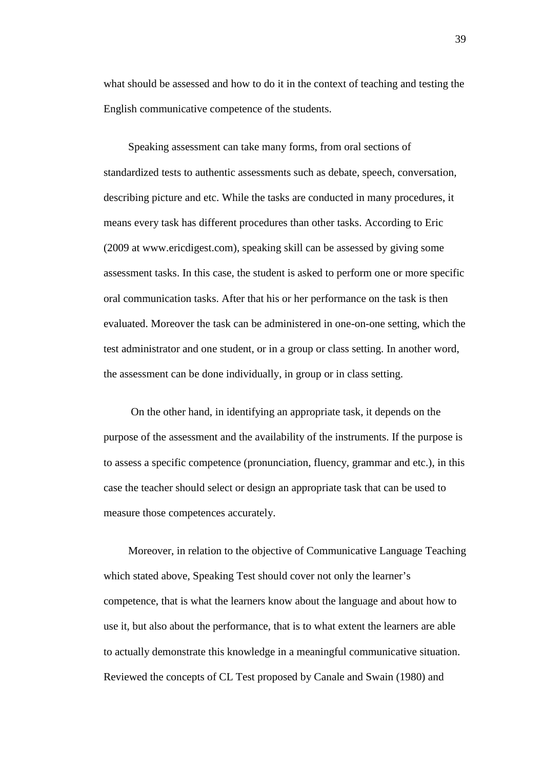what should be assessed and how to do it in the context of teaching and testing the English communicative competence of the students.

Speaking assessment can take many forms, from oral sections of standardized tests to authentic assessments such as debate, speech, conversation, describing picture and etc. While the tasks are conducted in many procedures, it means every task has different procedures than other tasks. According to Eric (2009 at www.ericdigest.com), speaking skill can be assessed by giving some assessment tasks. In this case, the student is asked to perform one or more specific oral communication tasks. After that his or her performance on the task is then evaluated. Moreover the task can be administered in one-on-one setting, which the test administrator and one student, or in a group or class setting. In another word, the assessment can be done individually, in group or in class setting.

On the other hand, in identifying an appropriate task, it depends on the purpose of the assessment and the availability of the instruments. If the purpose is to assess a specific competence (pronunciation, fluency, grammar and etc.), in this case the teacher should select or design an appropriate task that can be used to measure those competences accurately.

Moreover, in relation to the objective of Communicative Language Teaching which stated above, Speaking Test should cover not only the learner's competence, that is what the learners know about the language and about how to use it, but also about the performance, that is to what extent the learners are able to actually demonstrate this knowledge in a meaningful communicative situation. Reviewed the concepts of CL Test proposed by Canale and Swain (1980) and

39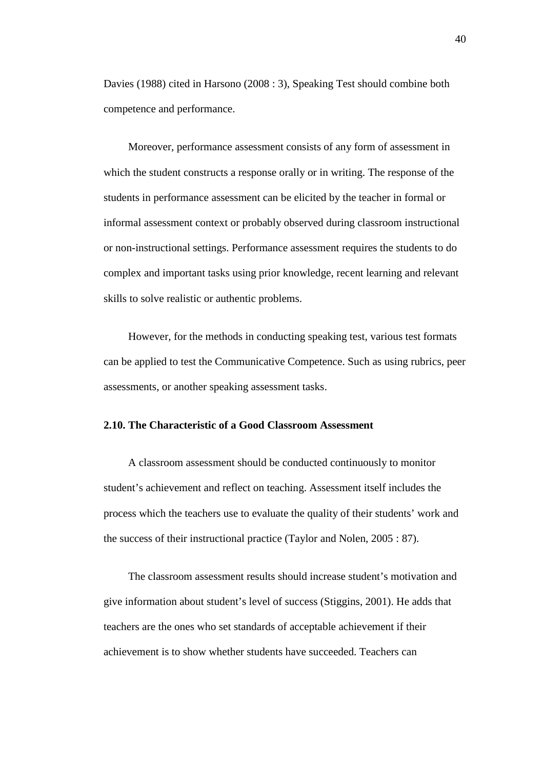Davies (1988) cited in Harsono (2008 : 3), Speaking Test should combine both competence and performance.

Moreover, performance assessment consists of any form of assessment in which the student constructs a response orally or in writing. The response of the students in performance assessment can be elicited by the teacher in formal or informal assessment context or probably observed during classroom instructional or non-instructional settings. Performance assessment requires the students to do complex and important tasks using prior knowledge, recent learning and relevant skills to solve realistic or authentic problems.

However, for the methods in conducting speaking test, various test formats can be applied to test the Communicative Competence. Such as using rubrics, peer assessments, or another speaking assessment tasks.

## **2.10. The Characteristic of a Good Classroom Assessment**

A classroom assessment should be conducted continuously to monitor student's achievement and reflect on teaching. Assessment itself includes the process which the teachers use to evaluate the quality of their students' work and the success of their instructional practice (Taylor and Nolen, 2005 : 87).

The classroom assessment results should increase student's motivation and give information about student's level of success (Stiggins, 2001). He adds that teachers are the ones who set standards of acceptable achievement if their achievement is to show whether students have succeeded. Teachers can

40